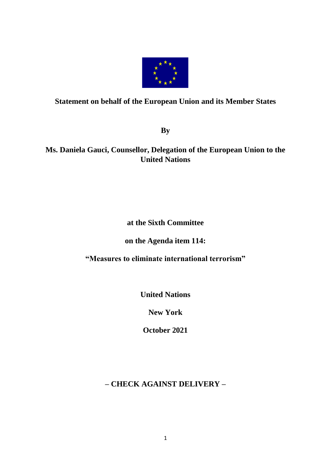

## **Statement on behalf of the European Union and its Member States**

**By** 

# **Ms. Daniela Gauci, Counsellor, Delegation of the European Union to the United Nations**

# **at the Sixth Committee**

## **on the Agenda item 114:**

## **"Measures to eliminate international terrorism"**

**United Nations**

**New York**

**October 2021**

# **– CHECK AGAINST DELIVERY –**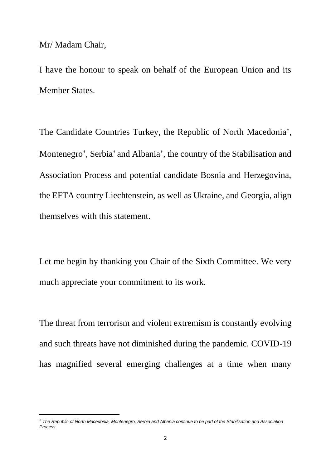Mr/ Madam Chair,

I have the honour to speak on behalf of the European Union and its Member States.

The Candidate Countries Turkey, the Republic of North Macedonia\*, Montenegro\*, Serbia\* and Albania\*, the country of the Stabilisation and Association Process and potential candidate Bosnia and Herzegovina, the EFTA country Liechtenstein, as well as Ukraine, and Georgia, align themselves with this statement.

Let me begin by thanking you Chair of the Sixth Committee. We very much appreciate your commitment to its work.

The threat from terrorism and violent extremism is constantly evolving and such threats have not diminished during the pandemic. COVID-19 has magnified several emerging challenges at a time when many

*The Republic of North Macedonia, Montenegro, Serbia and Albania continue to be part of the Stabilisation and Association Process.*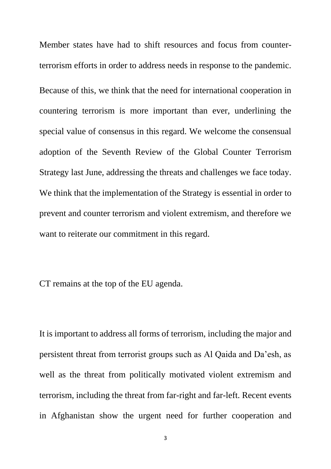Member states have had to shift resources and focus from counterterrorism efforts in order to address needs in response to the pandemic.

Because of this, we think that the need for international cooperation in countering terrorism is more important than ever, underlining the special value of consensus in this regard. We welcome the consensual adoption of the Seventh Review of the Global Counter Terrorism Strategy last June, addressing the threats and challenges we face today. We think that the implementation of the Strategy is essential in order to prevent and counter terrorism and violent extremism, and therefore we want to reiterate our commitment in this regard.

CT remains at the top of the EU agenda.

It is important to address all forms of terrorism, including the major and persistent threat from terrorist groups such as Al Qaida and Da'esh, as well as the threat from politically motivated violent extremism and terrorism, including the threat from far-right and far-left. Recent events in Afghanistan show the urgent need for further cooperation and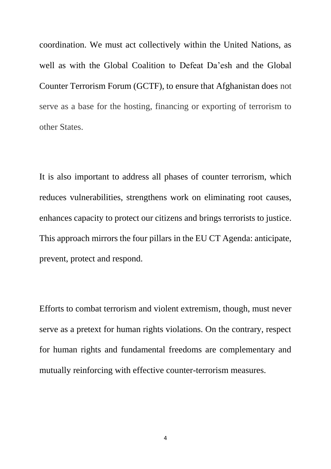coordination. We must act collectively within the United Nations, as well as with the Global Coalition to Defeat Da'esh and the Global Counter Terrorism Forum (GCTF), to ensure that Afghanistan does not serve as a base for the hosting, financing or exporting of terrorism to other States.

It is also important to address all phases of counter terrorism, which reduces vulnerabilities, strengthens work on eliminating root causes, enhances capacity to protect our citizens and brings terrorists to justice. This approach mirrors the four pillars in the EU CT Agenda: anticipate, prevent, protect and respond.

Efforts to combat terrorism and violent extremism, though, must never serve as a pretext for human rights violations. On the contrary, respect for human rights and fundamental freedoms are complementary and mutually reinforcing with effective counter-terrorism measures.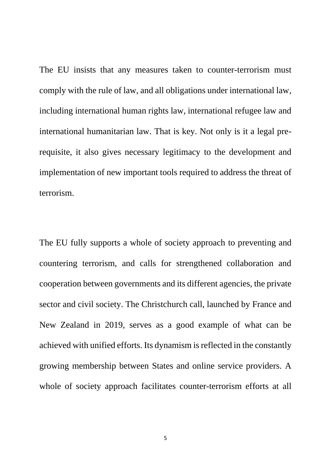The EU insists that any measures taken to counter-terrorism must comply with the rule of law, and all obligations under international law, including international human rights law, international refugee law and international humanitarian law. That is key. Not only is it a legal prerequisite, it also gives necessary legitimacy to the development and implementation of new important tools required to address the threat of terrorism.

The EU fully supports a whole of society approach to preventing and countering terrorism, and calls for strengthened collaboration and cooperation between governments and its different agencies, the private sector and civil society. The Christchurch call, launched by France and New Zealand in 2019, serves as a good example of what can be achieved with unified efforts. Its dynamism is reflected in the constantly growing membership between States and online service providers. A whole of society approach facilitates counter-terrorism efforts at all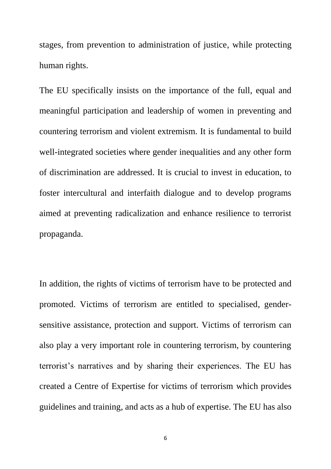stages, from prevention to administration of justice, while protecting human rights.

The EU specifically insists on the importance of the full, equal and meaningful participation and leadership of women in preventing and countering terrorism and violent extremism. It is fundamental to build well-integrated societies where gender inequalities and any other form of discrimination are addressed. It is crucial to invest in education, to foster intercultural and interfaith dialogue and to develop programs aimed at preventing radicalization and enhance resilience to terrorist propaganda.

In addition, the rights of victims of terrorism have to be protected and promoted. Victims of terrorism are entitled to specialised, gendersensitive assistance, protection and support. Victims of terrorism can also play a very important role in countering terrorism, by countering terrorist's narratives and by sharing their experiences. The EU has created a Centre of Expertise for victims of terrorism which provides guidelines and training, and acts as a hub of expertise. The EU has also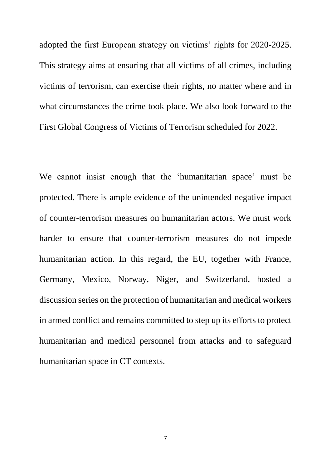adopted the first European strategy on victims' rights for 2020-2025. This strategy aims at ensuring that all victims of all crimes, including victims of terrorism, can exercise their rights, no matter where and in what circumstances the crime took place. We also look forward to the First Global Congress of Victims of Terrorism scheduled for 2022.

We cannot insist enough that the 'humanitarian space' must be protected. There is ample evidence of the unintended negative impact of counter-terrorism measures on humanitarian actors. We must work harder to ensure that counter-terrorism measures do not impede humanitarian action. In this regard, the EU, together with France, Germany, Mexico, Norway, Niger, and Switzerland, hosted a discussion series on the protection of humanitarian and medical workers in armed conflict and remains committed to step up its efforts to protect humanitarian and medical personnel from attacks and to safeguard humanitarian space in CT contexts.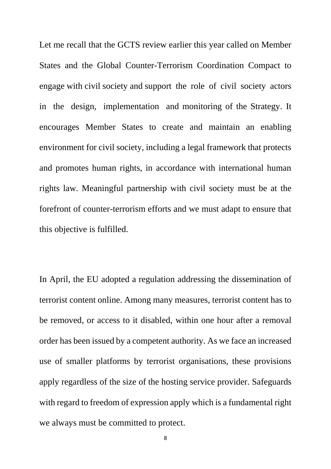Let me recall that the GCTS review earlier this year called on Member States and the Global Counter-Terrorism Coordination Compact to engage with civil society and support the role of civil society actors in the design, implementation and monitoring of the Strategy. It encourages Member States to create and maintain an enabling environment for civil society, including a legal framework that protects and promotes human rights, in accordance with international human rights law. Meaningful partnership with civil society must be at the forefront of counter-terrorism efforts and we must adapt to ensure that this objective is fulfilled.

In April, the EU adopted a regulation addressing the dissemination of terrorist content online. Among many measures, terrorist content has to be removed, or access to it disabled, within one hour after a removal order has been issued by a competent authority. As we face an increased use of smaller platforms by terrorist organisations, these provisions apply regardless of the size of the hosting service provider. Safeguards with regard to freedom of expression apply which is a fundamental right we always must be committed to protect.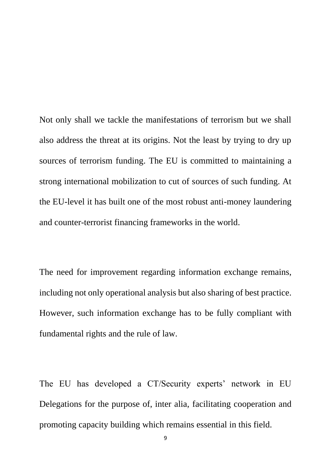Not only shall we tackle the manifestations of terrorism but we shall also address the threat at its origins. Not the least by trying to dry up sources of terrorism funding. The EU is committed to maintaining a strong international mobilization to cut of sources of such funding. At the EU-level it has built one of the most robust anti-money laundering and counter-terrorist financing frameworks in the world.

The need for improvement regarding information exchange remains, including not only operational analysis but also sharing of best practice. However, such information exchange has to be fully compliant with fundamental rights and the rule of law.

The EU has developed a CT/Security experts' network in EU Delegations for the purpose of, inter alia, facilitating cooperation and promoting capacity building which remains essential in this field.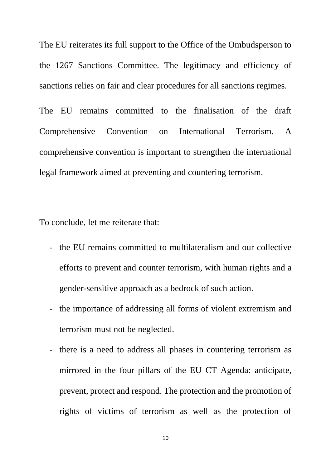The EU reiterates its full support to the Office of the Ombudsperson to the 1267 Sanctions Committee. The legitimacy and efficiency of sanctions relies on fair and clear procedures for all sanctions regimes.

The EU remains committed to the finalisation of the draft Comprehensive Convention on International Terrorism. A comprehensive convention is important to strengthen the international legal framework aimed at preventing and countering terrorism.

To conclude, let me reiterate that:

- the EU remains committed to multilateralism and our collective efforts to prevent and counter terrorism, with human rights and a gender-sensitive approach as a bedrock of such action.
- the importance of addressing all forms of violent extremism and terrorism must not be neglected.
- there is a need to address all phases in countering terrorism as mirrored in the four pillars of the EU CT Agenda: anticipate, prevent, protect and respond. The protection and the promotion of rights of victims of terrorism as well as the protection of